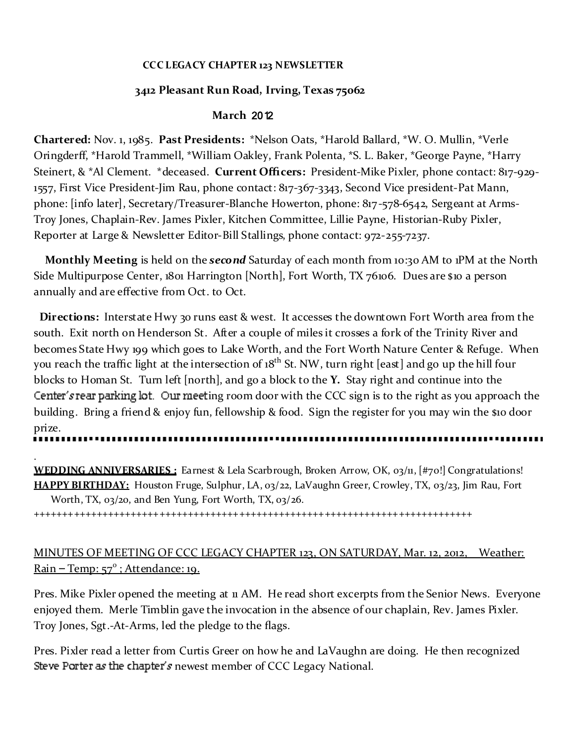#### **CCC LEGACY CHAPTER 123 NEWSLETTER**

## **3412 Pleasant Run Road, Irving, Texas 75062**

## **March** 2012

**Chartered:** Nov. 1, 1985. **Past Presidents:** \*Nelson Oats, \*Harold Ballard, \*W. O. Mullin, \*Verle Oringderff, \*Harold Trammell, \*William Oakley, Frank Polenta, \*S. L. Baker, \*George Payne, \*Harry Steinert, & \*Al Clement. \*deceased. **Current Officers:** President-Mike Pixler, phone contact: 817-929- 1557, First Vice President-Jim Rau, phone contact: 817-367-3343, Second Vice president-Pat Mann, phone: [info later], Secretary/Treasurer-Blanche Howerton, phone: 817-578-6542, Sergeant at Arms-Troy Jones, Chaplain-Rev. James Pixler, Kitchen Committee, Lillie Payne, Historian-Ruby Pixler, Reporter at Large & Newsletter Editor-Bill Stallings, phone contact: 972-255-7237.

**Monthly Meeting** is held on the *second* Saturday of each month from 10:30 AM to 1PM at the North Side Multipurpose Center, 1801 Harrington [North], Fort Worth, TX 76106. Dues are \$10 a person annually and are effective from Oct. to Oct.

**Directions:** Interstate Hwy 30 runs east & west. It accesses the downtown Fort Worth area from the south. Exit north on Henderson St. After a couple of miles it crosses a fork of the Trinity River and becomes State Hwy 199 which goes to Lake Worth, and the Fort Worth Nature Center & Refuge. When you reach the traffic light at the intersection of 18<sup>th</sup> St. NW, turn right [east] and go up the hill four blocks to Homan St. Turn left [north], and go a block to the **Y.** Stay right and continue into the Center's rear parking lot. Our meeting room door with the CCC sign is to the right as you approach the building. Bring a friend & enjoy fun, fellowship & food. Sign the register for you may win the \$10 door prize.

.

**WEDDING ANNIVERSARIES :** Earnest & Lela Scarbrough, Broken Arrow, OK, 03/11, [#70!] Congratulations! **HAPPY BIRTHDAY:** Houston Fruge, Sulphur, LA, 03/22, LaVaughn Greer, Crowley, TX, 03/23, Jim Rau, Fort Worth, TX, 03/20, and Ben Yung, Fort Worth, TX, 03/26.

+++++++++++++++++++++++++++++++++++++++++++++++++++++++++++++++++++++++++++++

# MINUTES OF MEETING OF CCC LEGACY CHAPTER 123, ON SATURDAY, Mar. 12, 2012, Weather: Rain – Temp: 57°; Attendance: 19.

Pres. Mike Pixler opened the meeting at 11 AM. He read short excerpts from the Senior News. Everyone enjoyed them. Merle Timblin gave the invocation in the absence of our chaplain, Rev. James Pixler. Troy Jones, Sgt.-At-Arms, led the pledge to the flags.

Pres. Pixler read a letter from Curtis Greer on how he and LaVaughn are doing. He then recognized Steve Porter as the chapter's newest member of CCC Legacy National.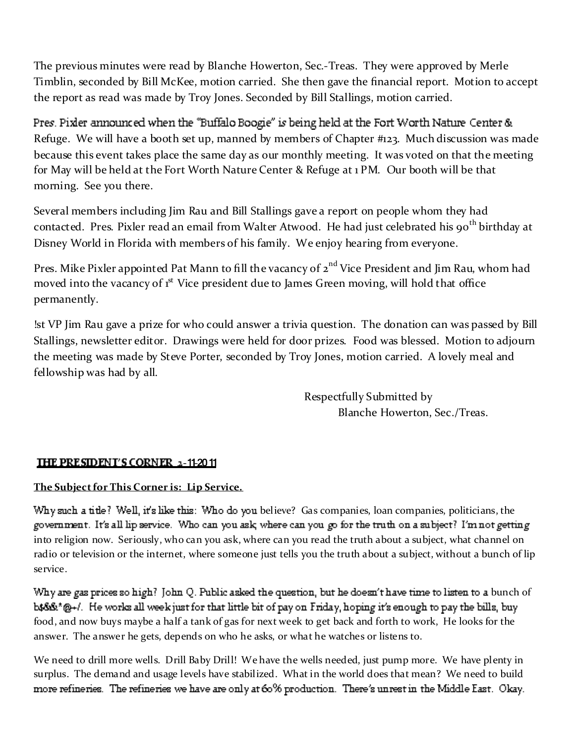The previous minutes were read by Blanche Howerton, Sec.-Treas. They were approved by Merle Timblin, seconded by Bill McKee, motion carried. She then gave the financial report. Motion to accept the report as read was made by Troy Jones. Seconded by Bill Stallings, motion carried.

Pres. Pixler announced when the "Buffalo Boogie" is being held at the Fort Worth Nature Center & Refuge. We will have a booth set up, manned by members of Chapter #123. Much discussion was made because this event takes place the same day as our monthly meeting. It was voted on that the meeting for May will be held at the Fort Worth Nature Center & Refuge at 1 PM. Our booth will be that morning. See you there.

Several members including Jim Rau and Bill Stallings gave a report on people whom they had contacted. Pres. Pixler read an email from Walter Atwood. He had just celebrated his 90<sup>th</sup> birthday at Disney World in Florida with members of his family. We enjoy hearing from everyone.

Pres. Mike Pixler appointed Pat Mann to fill the vacancy of 2<sup>nd</sup> Vice President and Jim Rau, whom had moved into the vacancy of 1<sup>st</sup> Vice president due to James Green moving, will hold that office permanently.

!st VP Jim Rau gave a prize for who could answer a trivia question. The donation can was passed by Bill Stallings, newsletter editor. Drawings were held for door prizes. Food was blessed. Motion to adjourn the meeting was made by Steve Porter, seconded by Troy Jones, motion carried. A lovely meal and fellowship was had by all.

> Respectfully Submitted by Blanche Howerton, Sec./Treas.

## **IHE PRESIDENT'S CORNER 2-11-2011**

## **The Sub ject for This Corner is: Lip Service.**

Why such a title? Well, it's like this: Who do you believe? Gas companies, loan companies, politicians, the government. It's all lip service. Who can you ask, where can you go for the truth on a subject? I'm not getting into religion now. Seriously, who can you ask, where can you read the truth about a subject, what channel on radio or television or the internet, where someone just tells you the truth about a subject, without a bunch of lip service.

Why are gas prices so high? John Q. Public asked the question, but he doesn't have time to listen to a bunch of  $b$ \$\$\$\*@+/. He works all week just for that little bit of pay on Friday, hoping it's enough to pay the bills, buy food, and now buys maybe a half a tank of gas for next week to get back and forth to work, He looks for the answer. The answer he gets, depends on who he asks, or what he watches or listens to.

We need to drill more wells. Drill Baby Drill! We have the wells needed, just pump more. We have plenty in surplus. The demand and usage levels have stabilized. What in the world does that mean? We need to buildmore refineries. The refineries we have are only at 60% production. There's unrest in the Middle East. Okay.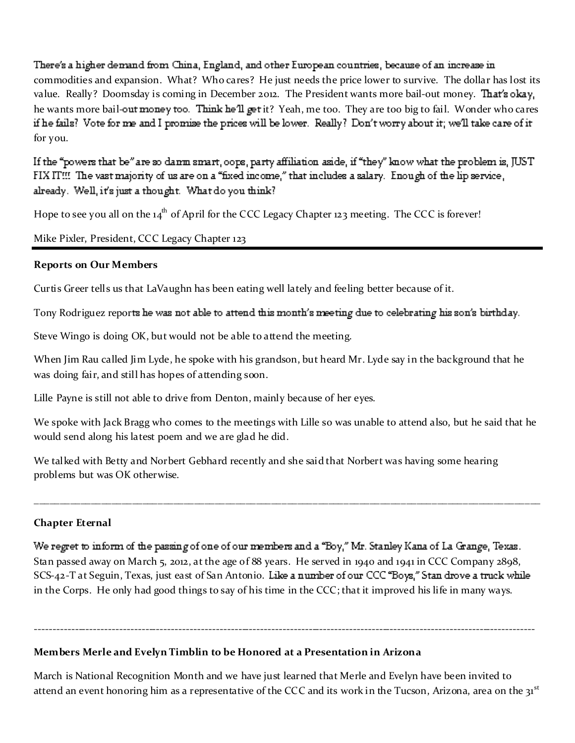There's a higher demand from China, England, and other European countries, because of an increase in commodities and expansion. What? Who cares? He just needs the price lower to survive. The dollar has lost its value. Really? Doomsday is coming in December 2012. The President wants more bail-out money. That's okay, he wants more bail-out money too. Think he'll get it? Yeah, me too. They are too big to fail. Wonder who cares if he fails? Vote for me and I promise the prices will be lower. Really? Don't worry about it; we'll take care of it for you.

If the "powers that be" are so danm smart, cops, party affiliation aside, if "they" know what the problem is, JUST FIX IT!!! The vast majority of us are on a "fixed income," that includes a salary. Enough of the lip service, already. Well, it's just a thought. What do you think?

Hope to see you all on the 14<sup>th</sup> of April for the CCC Legacy Chapter 123 meeting. The CCC is forever!

Mike Pixler, President, CCC Legacy Chapter 123

## **Reports on Our Members**

Curtis Greer tells us that LaVaughn has been eating well lately and feeling better because of it.

Tony Rodriguez reports he was not able to attend this month's meeting due to celebrating his son's birthday.

Steve Wingo is doing OK, but would not be able to attend the meeting.

When Jim Rau called Jim Lyde, he spoke with his grandson, but heard Mr. Lyde say in the background that he was doing fair, and still has hopes of attending soon.

Lille Payne is still not able to drive from Denton, mainly because of her eyes.

We spoke with Jack Bragg who comes to the meetings with Lille so was unable to attend also, but he said that he would send along his latest poem and we are glad he did.

\_\_\_\_\_\_\_\_\_\_\_\_\_\_\_\_\_\_\_\_\_\_\_\_\_\_\_\_\_\_\_\_\_\_\_\_\_\_\_\_\_\_\_\_\_\_\_\_\_\_\_\_\_\_\_\_\_\_\_\_\_\_\_\_\_\_\_\_\_\_\_\_\_\_\_\_\_\_\_\_\_\_\_\_\_\_\_\_\_\_\_\_\_\_\_\_\_\_

We talked with Betty and Norbert Gebhard recently and she said that Norbert was having some hearing problems but was OK otherwise.

# **Chapter Eternal**

We regret to inform of the passing of one of our members and a "Boy," Mr. Stanley Kana of La Grange, Texas. Stan passed away on March 5, 2012, at the age of 88 years. He served in 1940 and 1941 in CCC Company 2898, SCS-42-T at Seguin, Texas, just east of San Antonio. Like a number of our CCC "Boys," Stan drove a truck while in the Corps. He only had good things to say of his time in the CCC; that it improved his life in many ways.

# **Mem bers Merle and Evelyn Tim b lin to b e Honored at a Presentation in Arizona**

March is National Recognition Month and we have just learned that Merle and Evelyn have been invited to attend an event honoring him as a representative of the CCC and its work in the Tucson, Arizona, area on the 31<sup>st</sup>

---------------------------------------------------------------------------------------------------------------------------------------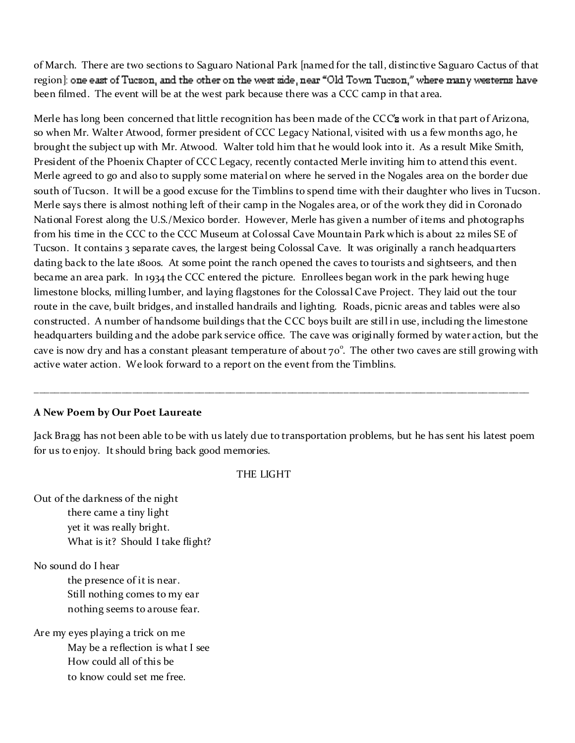of March. There are two sections to Saguaro National Park [named for the tall, distinctive Saguaro Cactus of that region]; one east of Tucson, and the other on the west side, near "Old Town Tucson," where many westerns have been filmed. The event will be at the west park because there was a CCC camp in that area.

Merle has long been concerned that little recognition has been made of the CCC work in that part of Arizona, so when Mr. Walter Atwood, former president of CCC Legacy National, visited with us a few months ago, he brought the subject up with Mr. Atwood. Walter told him that he would look into it. As a result Mike Smith, President of the Phoenix Chapter of CCC Legacy, recently contacted Merle inviting him to attend this event. Merle agreed to go and also to supply some material on where he served in the Nogales area on the border due south of Tucson. It will be a good excuse for the Timblins to spend time with their daughter who lives in Tucson. Merle says there is almost nothing left of their camp in the Nogales area, or of the work they did in Coronado National Forest along the U.S./Mexico border. However, Merle has given a number of items and photographs from his time in the CCC to the CCC Museum at Colossal Cave Mountain Park which is about 22 miles SE of Tucson. It contains 3 separate caves, the largest being Colossal Cave. It was originally a ranch headquarters dating back to the late 1800s. At some point the ranch opened the caves to tourists and sightseers, and then became an area park. In 1934 the CCC entered the picture. Enrollees began work in the park hewing huge limestone blocks, milling lumber, and laying flagstones for the Colossal Cave Project. They laid out the tour route in the cave, built bridges, and installed handrails and lighting. Roads, picnic areas and tables were also constructed. A number of handsome buildings that the CCC boys built are still in use, including the limestone headquarters building and the adobe park service office. The cave was originally formed by water action, but the cave is now dry and has a constant pleasant temperature of about  $70^{\circ}$ . The other two caves are still growing with active water action. We look forward to a report on the event from the Timblins.

#### **A New Poem by Our Poet Laureate**

Jack Bragg has not been able to be with us lately due to transportation problems, but he has sent his latest poem for us to enjoy. It should bring back good memories.

\_\_\_\_\_\_\_\_\_\_\_\_\_\_\_\_\_\_\_\_\_\_\_\_\_\_\_\_\_\_\_\_\_\_\_\_\_\_\_\_\_\_\_\_\_\_\_\_\_\_\_\_\_\_\_\_\_\_\_\_\_\_\_\_\_\_\_\_\_\_\_\_\_\_\_\_\_\_\_\_\_\_\_\_\_\_\_\_\_\_\_\_\_\_\_\_

#### THE LIGHT

Out of the darkness of the night there came a tiny light yet it was really bright. What is it? Should I take flight?

No sound do I hear

the presence of it is near. Still nothing comes to my ear nothing seems to arouse fear.

Are my eyes playing a trick on me May be a reflection is what I see How could all of this be to know could set me free.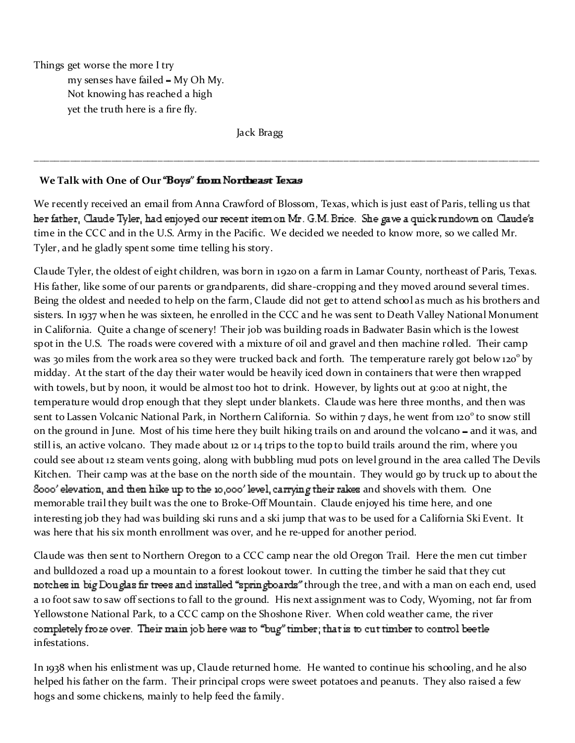Things get worse the more I try

my senses have failed - My Oh My. Not knowing has reached a high yet the truth here is a fire fly.

Jack Bragg

# **We Talk with One of Our**

We recently received an email from Anna Crawford of Blossom, Texas, which is just east of Paris, telling us that her father, Claude Tyler, had enjoyed our recent item on Mr. G.M. Brice. She gave a quick rundown on Claude's time in the CCC and in the U.S. Army in the Pacific. We decided we needed to know more, so we called Mr. Tyler, and he gladly spent some time telling his story.

\_\_\_\_\_\_\_\_\_\_\_\_\_\_\_\_\_\_\_\_\_\_\_\_\_\_\_\_\_\_\_\_\_\_\_\_\_\_\_\_\_\_\_\_\_\_\_\_\_\_\_\_\_\_\_\_\_\_\_\_\_\_\_\_\_\_\_\_\_\_\_\_\_\_\_\_\_\_\_\_\_\_\_\_\_\_\_\_\_\_\_\_\_\_\_\_\_\_

Claude Tyler, the oldest of eight children, was born in 1920 on a farm in Lamar County, northeast of Paris, Texas. His father, like some of our parents or grandparents, did share-cropping and they moved around several times. Being the oldest and needed to help on the farm, Claude did not get to attend school as much as his brothers and sisters. In 1937 when he was sixteen, he enrolled in the CCC and he was sent to Death Valley National Monument in California. Quite a change of scenery! Their job was building roads in Badwater Basin which is the lowest spot in the U.S. The roads were covered with a mixture of oil and gravel and then machine rolled. Their camp was 30 miles from the work area so they were trucked back and forth. The temperature rarely got below 120<sup>°</sup> by midday. At the start of the day their water would be heavily iced down in containers that were then wrapped with towels, but by noon, it would be almost too hot to drink. However, by lights out at 9:00 at night, the temperature would drop enough that they slept under blankets. Claude was here three months, and then was sent to Lassen Volcanic National Park, in Northern California. So within 7 days, he went from 120<sup>°</sup> to snow still on the ground in June. Most of his time here they built hiking trails on and around the volcano – and it was, and still is, an active volcano. They made about 12 or 14 trips to the top to build trails around the rim, where you could see about 12 steam vents going, along with bubbling mud pots on level ground in the area called The Devils Kitchen. Their camp was at the base on the north side of the mountain. They would go by truck up to about the Sooo' elevation, and then hike up to the 10,000' level, carrying their rakes and shovels with them. One memorable trail they built was the one to Broke-Off Mountain. Claude enjoyed his time here, and one interesting job they had was building ski runs and a ski jump that was to be used for a California Ski Event. It was here that his six month enrollment was over, and he re-upped for another period.

Claude was then sent to Northern Oregon to a CCC camp near the old Oregon Trail. Here the men cut timber and bulldozed a road up a mountain to a forest lookout tower. In cutting the timber he said that they cut notches in big Douglas fir trees and installed "spring boards" through the tree, and with a man on each end, used a 10 foot saw to saw off sections to fall to the ground. His next assignment was to Cody, Wyoming, not far from Yellowstone National Park, to a CCC camp on the Shoshone River. When cold weather came, the river completely froze over. Their main job here was to "bug" timber; that is to cut timber to control beetle infestations.

In 1938 when his enlistment was up, Claude returned home. He wanted to continue his schooling, and he also helped his father on the farm. Their principal crops were sweet potatoes and peanuts. They also raised a few hogs and some chickens, mainly to help feed the family.